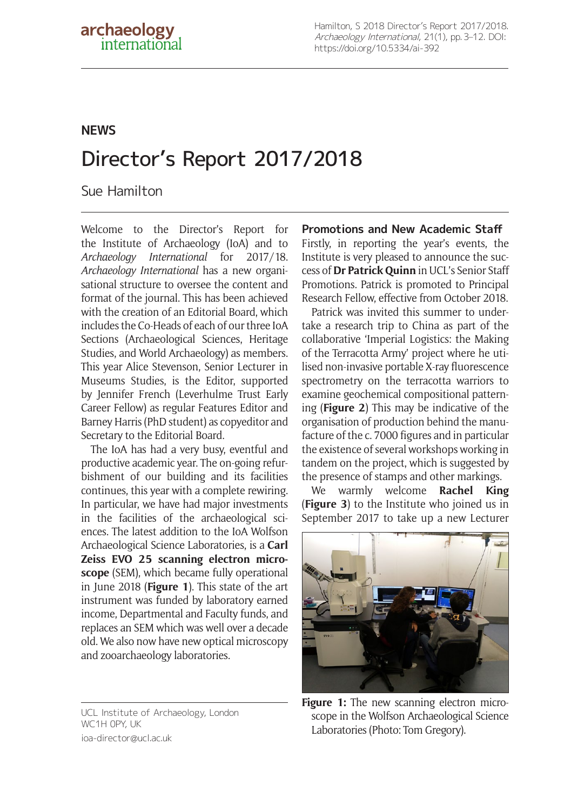## **NEWS**

# Director's Report 2017/2018

Sue Hamilton

Welcome to the Director's Report for the Institute of Archaeology (IoA) and to *Archaeology International* for 2017/18. *Archaeology International* has a new organisational structure to oversee the content and format of the journal. This has been achieved with the creation of an Editorial Board, which includes the Co-Heads of each of our three IoA Sections (Archaeological Sciences, Heritage Studies, and World Archaeology) as members. This year Alice Stevenson, Senior Lecturer in Museums Studies, is the Editor, supported by Jennifer French (Leverhulme Trust Early Career Fellow) as regular Features Editor and Barney Harris (PhD student) as copyeditor and Secretary to the Editorial Board.

The IoA has had a very busy, eventful and productive academic year. The on-going refurbishment of our building and its facilities continues, this year with a complete rewiring. In particular, we have had major investments in the facilities of the archaeological sciences. The latest addition to the IoA Wolfson Archaeological Science Laboratories, is a **[Carl](https://www.ucl.ac.uk/archaeology/news-events/archaeology-news-publication/new-institute-scanning-electron-microscope)  [Zeiss EVO 25 scanning electron](https://www.ucl.ac.uk/archaeology/news-events/archaeology-news-publication/new-institute-scanning-electron-microscope) microscope** (SEM), which became fully operational in June 2018 (**Figure 1**). This state of the art instrument was funded by laboratory earned income, Departmental and Faculty funds, and replaces an SEM which was well over a decade old. We also now have new optical microscopy and zooarchaeology laboratories.

UCL Institute of Archaeology, London WC1H 0PY, UK [ioa-director@ucl.ac.uk](mailto:ioa-director@ucl.ac.uk)

**Promotions and New Academic Staff** Firstly, in reporting the year's events, the Institute is very pleased to announce the success of **[Dr Patrick Quinn](https://www.ucl.ac.uk/archaeology/news-events/archaeology-news-publication/senior-promotions-success-patrick-quinn)** in UCL's Senior Staff Promotions. Patrick is promoted to Principal Research Fellow, effective from October 2018.

Patrick was invited this summer to undertake a research trip to China as part of the collaborative 'Imperial Logistics: the Making of the Terracotta Army' project where he [uti](http://www.ucl.ac.uk/archaeology/news-events/archaeology-news-publication/potters-shaping-terracotta-army)[lised non-invasive portable X-ray fluorescence](http://www.ucl.ac.uk/archaeology/news-events/archaeology-news-publication/potters-shaping-terracotta-army) [spectrometry on the terracotta warriors](http://www.ucl.ac.uk/archaeology/news-events/archaeology-news-publication/potters-shaping-terracotta-army) to examine geochemical compositional patterning (**Figure 2**) This may be indicative of the organisation of production behind the manufacture of the c. 7000 figures and in particular the existence of several workshops working in tandem on the project, which is suggested by the presence of stamps and other markings.

We warmly welcome **Rachel King** (**Figure 3**) to the Institute who joined us in September 2017 to take up a new Lecturer



Figure 1: The new scanning electron microscope in the Wolfson Archaeological Science Laboratories (Photo: Tom Gregory).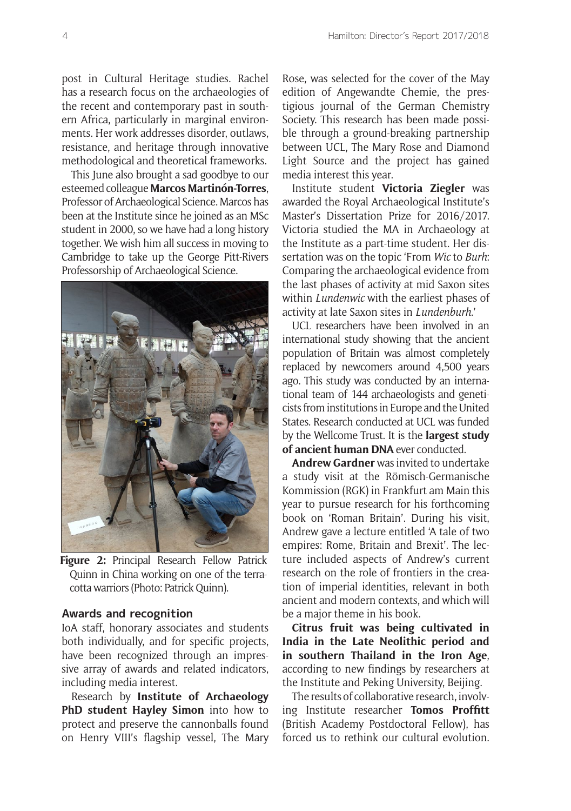post in Cultural Heritage studies. Rachel has a research focus on the archaeologies of the recent and contemporary past in southern Africa, particularly in marginal environments. Her work addresses disorder, outlaws, resistance, and heritage through innovative methodological and theoretical frameworks.

This June also brought a sad goodbye to our esteemed colleague **Marcos Martinón-Torres**, Professor of Archaeological Science. Marcos has been at the Institute since he joined as an MSc student in 2000, so we have had a long history together. We wish him all success in moving to Cambridge to take up the George Pitt-Rivers Professorship of Archaeological Science.



**Figure 2:** Principal Research Fellow Patrick Quinn in China working on one of the terracotta warriors (Photo: Patrick Quinn).

#### **Awards and recognition**

IoA staff, honorary associates and students both individually, and for specific projects, have been recognized through an impressive array of awards and related indicators, including media interest.

Research by **Institute of Archaeology PhD student Hayley Simon** into how to protect and preserve the cannonballs found on Henry VIII's flagship vessel, The Mary Rose, was [selected for the cover of the May](http://www.ucl.ac.uk/archaeology/news-events/archaeology-news-publication/institute-research-german-chemistry-journal) [edition of Angewandte Chemie](http://www.ucl.ac.uk/archaeology/news-events/archaeology-news-publication/institute-research-german-chemistry-journal), the prestigious journal of the German Chemistry Society. This research has been made possible through a [ground-breaking partnership](http://www.ucl.ac.uk/archaeology/news-events/archaeology-news-publication/going-ballistic-exploring-the-secrets-of-the-mary-roses-cannonballs) [between UCL, The Mary Rose and Diamond](http://www.ucl.ac.uk/archaeology/news-events/archaeology-news-publication/going-ballistic-exploring-the-secrets-of-the-mary-roses-cannonballs) [Light Source](http://www.ucl.ac.uk/archaeology/news-events/archaeology-news-publication/going-ballistic-exploring-the-secrets-of-the-mary-roses-cannonballs) and the project has gained media interest this year.

Institute student **[Victoria Ziegler](http://www.ucl.ac.uk/archaeology/news-events/archaeology-news-publication/victoria-ziegler-wins-royal-archaeological-institutes-masters-dissertation-prize)** was [awarded the Royal Archaeological Institute's](http://www.ucl.ac.uk/archaeology/news-events/archaeology-news-publication/victoria-ziegler-wins-royal-archaeological-institutes-masters-dissertation-prize) [Master's Dissertation Prize for 2016/2017.](http://www.ucl.ac.uk/archaeology/news-events/archaeology-news-publication/victoria-ziegler-wins-royal-archaeological-institutes-masters-dissertation-prize) Victoria studied the MA in Archaeology at the Institute as a part-time student. Her dissertation was on the topic 'From *Wic* to *Burh*: Comparing the archaeological evidence from the last phases of activity at mid Saxon sites within *Lundenwic* with the earliest phases of activity at late Saxon sites in *Lundenburh*.'

UCL researchers have been involved in an international study showing that the ancient population of Britain was almost completely replaced by newcomers around 4,500 years ago. This study was conducted by an international team of 144 archaeologists and geneticists from institutions in Europe and the United States. Research conducted at UCL was funded by the Wellcome Trust. It is the **[largest study](http://www.ucl.ac.uk/archaeology/news-events/archaeology-news-publication/ancient-britons-replaced-by-newcomers) [of ancient human DNA](http://www.ucl.ac.uk/archaeology/news-events/archaeology-news-publication/ancient-britons-replaced-by-newcomers)** ever conducted.

**Andrew Gardner** was invited to undertake a study visit at the Römisch-Germanische Kommission (RGK) in Frankfurt am Main this year to pursue research for his forthcoming book on 'Roman Britain'. During his visit, Andrew gave a lecture entitled ['A tale of two](http://www.ucl.ac.uk/archaeology/news-events/archaeology-news-publication/gardner-rome-britain-brexit) [empires: Rome, Britain and Brexit'](http://www.ucl.ac.uk/archaeology/news-events/archaeology-news-publication/gardner-rome-britain-brexit). The lecture included aspects of Andrew's current research on the role of frontiers in the creation of imperial identities, relevant in both ancient and modern contexts, and which will be a major theme in his book.

**[Citrus fruit was being cultivated in](http://www.ucl.ac.uk/archaeology/news-events/archaeology-news-publication/new-evidence-early-cultivation) [India in the Late Neolithic period and](http://www.ucl.ac.uk/archaeology/news-events/archaeology-news-publication/new-evidence-early-cultivation) [in southern Thailand in the Iron Age](http://www.ucl.ac.uk/archaeology/news-events/archaeology-news-publication/new-evidence-early-cultivation)**, according to new findings by researchers at the Institute and Peking University, Beijing.

The results of collaborative research, involving Institute researcher **Tomos Proffitt** (British Academy Postdoctoral Fellow), has forced us to rethink our cultural evolution.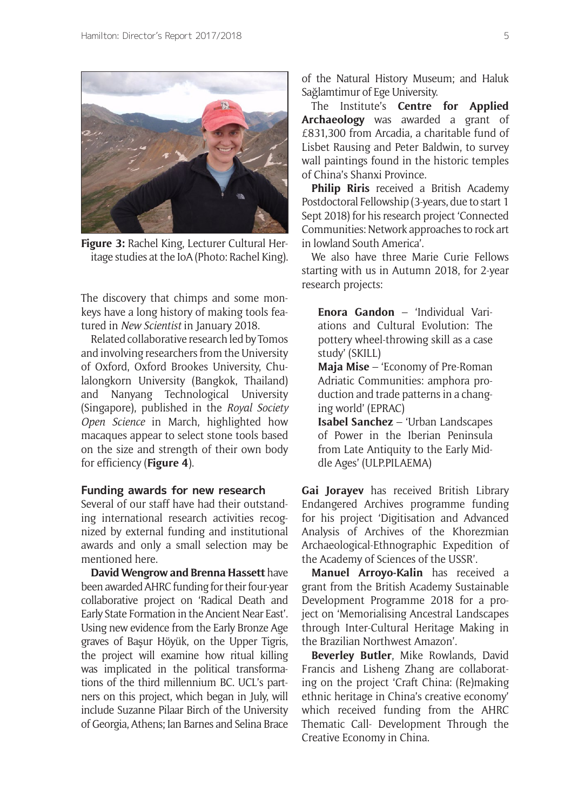

**Figure 3:** Rachel King, Lecturer Cultural Heritage studies at the IoA (Photo: Rachel King).

The [discovery that chimps and some mon](http://www.ucl.ac.uk/archaeology/news-events/archaeology-news-publication/secrets-monkey-stone-age)[keys have a long history of making tools](http://www.ucl.ac.uk/archaeology/news-events/archaeology-news-publication/secrets-monkey-stone-age) featured in *New Scientist* in January 2018.

Related collaborative research led by Tomos and involving researchers from the University of Oxford, Oxford Brookes University, Chulalongkorn University (Bangkok, Thailand) and Nanyang Technological University (Singapore), published in the *Royal Society Open Science* in March, highlighted how [macaques appear to select stone tools based](http://www.ucl.ac.uk/archaeology/news-events/archaeology-news-publication/macaques-stone-tools)  [on the size and strength of their own body](http://www.ucl.ac.uk/archaeology/news-events/archaeology-news-publication/macaques-stone-tools)  [for efficiency](http://www.ucl.ac.uk/archaeology/news-events/archaeology-news-publication/macaques-stone-tools) (**Figure 4**).

#### **Funding awards for new research**

Several of our staff have had their outstanding international research activities recognized by external funding and institutional awards and only a small selection may be mentioned here.

**David Wengrow and Brenna Hassett** have been awarded AHRC funding for their four-year collaborative project on ['Radical Death and](http://www.ucl.ac.uk/archaeology/news-events/archaeology-news-publication/radical-death-early-state-formation)  [Early State Formation in the Ancient Near East'.](http://www.ucl.ac.uk/archaeology/news-events/archaeology-news-publication/radical-death-early-state-formation) Using new evidence from the Early Bronze Age graves of Başur Höyük, on the Upper Tigris, the project will examine how ritual killing was implicated in the political transformations of the third millennium BC. UCL's partners on this project, which began in July, will include Suzanne Pilaar Birch of the University of Georgia, Athens; Ian Barnes and Selina Brace

of the Natural History Museum; and Haluk Sağlamtimur of Ege University.

The Institute's **Centre for Applied Archaeology** [was awarded a grant of](http://www.ucl.ac.uk/archaeology/news-events/archaeology-news-publication/digital-documentation-endangered-chinese-wallpaintings) [£831,300 from Arcadia](http://www.ucl.ac.uk/archaeology/news-events/archaeology-news-publication/digital-documentation-endangered-chinese-wallpaintings), a charitable fund of Lisbet Rausing and Peter Baldwin, to survey wall paintings found in the historic temples of China's Shanxi Province.

**Philip Riris** received a British Academy Postdoctoral Fellowship (3-years, due to start 1 Sept 2018) for his research project 'Connected Communities: Network approaches to rock art in lowland South America'.

We also have three Marie Curie Fellows starting with us in Autumn 2018, for 2-year research projects:

**Enora Gandon** – 'Individual Variations and Cultural Evolution: The pottery wheel-throwing skill as a case study' (SKILL)

**Maja Mise** – 'Economy of Pre-Roman Adriatic Communities: amphora production and trade patterns in a changing world' (EPRAC)

**Isabel Sanchez** – 'Urban Landscapes of Power in the Iberian Peninsula from Late Antiquity to the Early Middle Ages' (ULP.PILAEMA)

**Gai Jorayev** has received British Library Endangered Archives programme funding for his project 'Digitisation and Advanced Analysis of Archives of the Khorezmian Archaeological-Ethnographic Expedition of the Academy of Sciences of the USSR'.

**Manuel Arroyo-Kalin** has received a grant from the British Academy Sustainable Development Programme 2018 for a project on 'Memorialising Ancestral Landscapes through Inter-Cultural Heritage Making in the Brazilian Northwest Amazon'.

**Beverley Butler**, Mike Rowlands, David Francis and Lisheng Zhang are collaborating on the project 'Craft China: (Re)making ethnic heritage in China's creative economy' which received funding from the AHRC Thematic Call- Development Through the Creative Economy in China.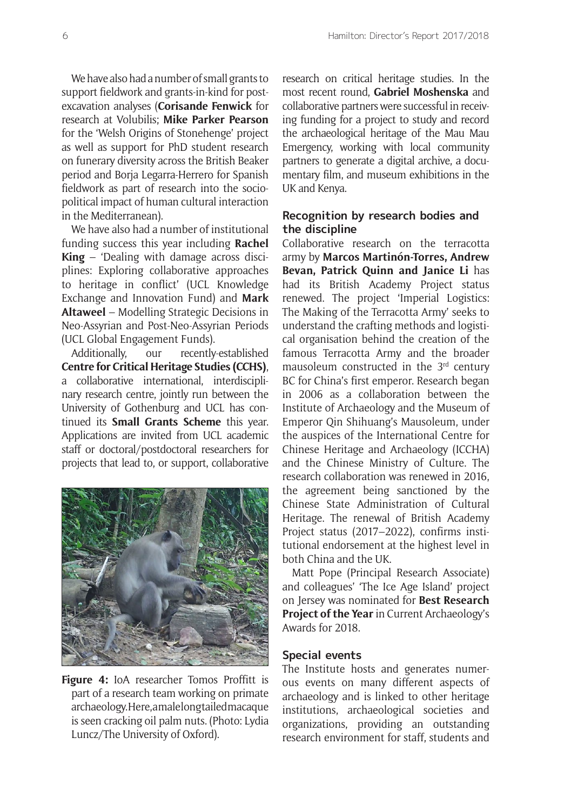We have also had a number of small grants to support fieldwork and grants-in-kind for postexcavation analyses (**Corisande Fenwick** for research at Volubilis; **Mike Parker Pearson** for the 'Welsh Origins of Stonehenge' project as well as support for PhD student research on funerary diversity across the British Beaker period and Borja Legarra-Herrero for Spanish fieldwork as part of research into the sociopolitical impact of human cultural interaction in the Mediterranean).

We have also had a number of institutional funding success this year including **Rachel King** – 'Dealing with damage across disciplines: Exploring collaborative approaches to heritage in conflict' (UCL Knowledge Exchange and Innovation Fund) and **Mark Altaweel** – Modelling Strategic Decisions in Neo-Assyrian and Post-Neo-Assyrian Periods (UCL Global Engagement Funds).

Additionally, our recently-established **Centre for Critical Heritage Studies (CCHS)**, a collaborative international, interdisciplinary research centre, jointly run between the University of Gothenburg and UCL has continued its **Small Grants Scheme** this year. Applications are invited from UCL academic staff or doctoral/postdoctoral researchers for projects that lead to, or support, collaborative



**Figure 4:** IoA researcher Tomos Proffitt is part of a research team working on primate archaeology. Here, a male long tailed macaque is seen cracking oil palm nuts. (Photo: Lydia Luncz/The University of Oxford).

research on critical heritage studies. In the most recent round, **Gabriel Moshenska** and collaborative partners were successful in receiving [funding for a project to study and record](http://www.ucl.ac.uk/archaeology/news-events/archaeology-news-publication/cchs-small-grants-2018) [the archaeological heritage of the Mau Mau](http://www.ucl.ac.uk/archaeology/news-events/archaeology-news-publication/cchs-small-grants-2018) [Emergency](http://www.ucl.ac.uk/archaeology/news-events/archaeology-news-publication/cchs-small-grants-2018), working with local community partners to generate a digital archive, a documentary film, and museum exhibitions in the UK and Kenya.

#### **Recognition by research bodies and the discipline**

Collaborative research on the terracotta army by **Marcos Martinón-Torres, Andrew Bevan, Patrick Quinn and Janice Li** has had its British Academy Project status renewed. The project 'Imperial Logistics: The Making of the Terracotta Army' seeks to understand the crafting methods and logistical organisation behind the creation of the famous Terracotta Army and the broader mausoleum constructed in the 3rd century BC for China's first emperor. Research began in 2006 as a collaboration between the Institute of Archaeology and the Museum of Emperor Qin Shihuang's Mausoleum, under the auspices of the International Centre for Chinese Heritage and Archaeology (ICCHA) and the Chinese Ministry of Culture. The research collaboration was renewed in 2016, the agreement being sanctioned by the Chinese State Administration of Cultural Heritage. [The renewal of British Academy](http://www.ucl.ac.uk/archaeology/news-events/archaeology-news-publication/terracotta-army-british-academy-project-status) [Project status \(2017–2022\),](http://www.ucl.ac.uk/archaeology/news-events/archaeology-news-publication/terracotta-army-british-academy-project-status) confirms institutional endorsement at the highest level in both China and the UK.

Matt Pope (Principal Research Associate) and colleagues' 'The Ice Age Island' project on Jersey was nominated for **[Best Research](https://www.archaeology.co.uk/articles/ice-age-jersey.htm) [Project of the Year](https://www.archaeology.co.uk/articles/ice-age-jersey.htm)** in Current Archaeology's Awards for 2018.

#### **Special events**

The Institute hosts and generates numerous events on many different aspects of archaeology and is linked to other heritage institutions, archaeological societies and organizations, providing an outstanding research environment for staff, students and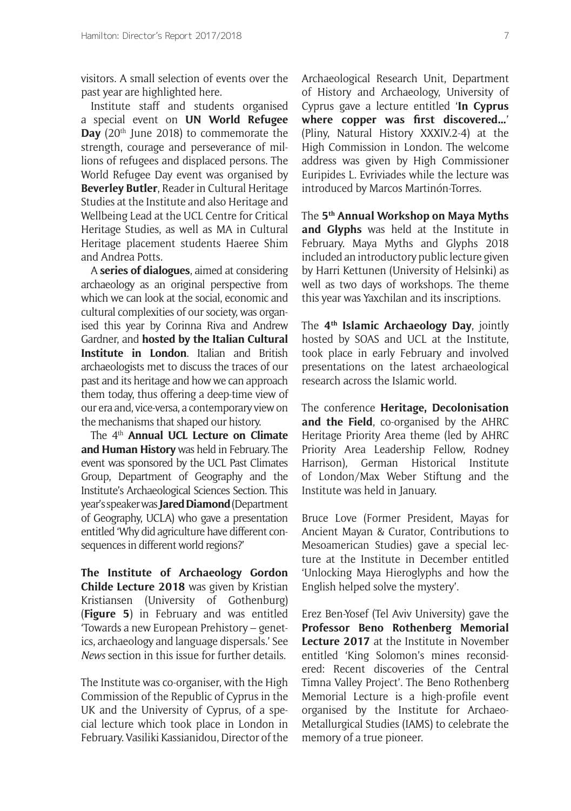visitors. A small selection of events over the past year are highlighted here.

Institute staff and students organised a special event on **[UN World Refugee](https://www.ucl.ac.uk/archaeology/news-events/archaeology-news-publication/un-world-refugee-day-event)  [Day](https://www.ucl.ac.uk/archaeology/news-events/archaeology-news-publication/un-world-refugee-day-event)** (20<sup>th</sup> June 2018) to commemorate the strength, courage and perseverance of millions of refugees and displaced persons. The World Refugee Day event was organised by **Beverley Butler**, Reader in Cultural Heritage Studies at the Institute and also Heritage and Wellbeing Lead at the UCL Centre for Critical Heritage Studies, as well as MA in Cultural Heritage placement students Haeree Shim and Andrea Potts.

A **[series of dialogues](http://www.ucl.ac.uk/archaeology/news-events/archaeology-news-publication/archaeology-and-localisms)**, aimed at considering archaeology as an original perspective from which we can look at the social, economic and cultural complexities of our society, was organised this year by Corinna Riva and Andrew Gardner, and **[hosted by the Italian Cultural](http://www.ucl.ac.uk/archaeology/news-events/archaeology-news-publication/archaeology-and-politics)  [Institute in London](http://www.ucl.ac.uk/archaeology/news-events/archaeology-news-publication/archaeology-and-politics)**. Italian and British archaeologists met to discuss the traces of our past and its heritage and how we can approach them today, thus offering a deep-time view of our era and, vice-versa, a contemporary view on the mechanisms that shaped our history.

The 4th **Annual UCL Lecture on Climate and Human History** was held in February. The event was sponsored by the UCL Past Climates Group, Department of Geography and the Institute's Archaeological Sciences Section. This year's speaker was **Jared Diamond** (Department of Geography, UCLA) who gave a presentation entitled 'Why did agriculture have different consequences in different world regions?'

**The Institute of Archaeology Gordon Childe Lecture 2018** was given by Kristian Kristiansen (University of Gothenburg) (**Figure 5**) in February and was entitled 'Towards a new European Prehistory – genetics, archaeology and language dispersals.' See *News* section in this issue for further details.

The Institute was co-organiser, with the High Commission of the Republic of Cyprus in the UK and the University of Cyprus, of a special lecture which took place in London in February. Vasiliki Kassianidou, Director of the Archaeological Research Unit, Department of History and Archaeology, University of Cyprus gave a lecture entitled '**In Cyprus where copper was first discovered…**' (Pliny, Natural History XXXIV.2-4) at the High Commission in London. The welcome address was given by High Commissioner Euripides L. Evriviades while the lecture was introduced by Marcos Martinón-Torres.

The **5th Annual Workshop on Maya Myths and Glyphs** was held at the Institute in February. Maya Myths and Glyphs 2018 included an introductory public lecture given by Harri Kettunen (University of Helsinki) as well as two days of workshops. The theme this year was Yaxchilan and its inscriptions.

The **4th Islamic Archaeology Day**, jointly hosted by SOAS and UCL at the Institute, took place in early February and involved presentations on the latest archaeological research across the Islamic world.

The conference **Heritage, Decolonisation and the Field**, co-organised by the AHRC Heritage Priority Area theme (led by AHRC Priority Area Leadership Fellow, Rodney Harrison), German Historical Institute of London/Max Weber Stiftung and the Institute was held in January.

Bruce Love (Former President, Mayas for Ancient Mayan & Curator, Contributions to Mesoamerican Studies) gave a special lecture at the Institute in December entitled 'Unlocking Maya Hieroglyphs and how the English helped solve the mystery'.

Erez Ben-Yosef (Tel Aviv University) gave the **Professor Beno Rothenberg Memorial Lecture 2017** at the Institute in November entitled 'King Solomon's mines reconsidered: Recent discoveries of the Central Timna Valley Project'. The Beno Rothenberg Memorial Lecture is a high-profile event organised by the Institute for Archaeo-Metallurgical Studies (IAMS) to celebrate the memory of a true pioneer.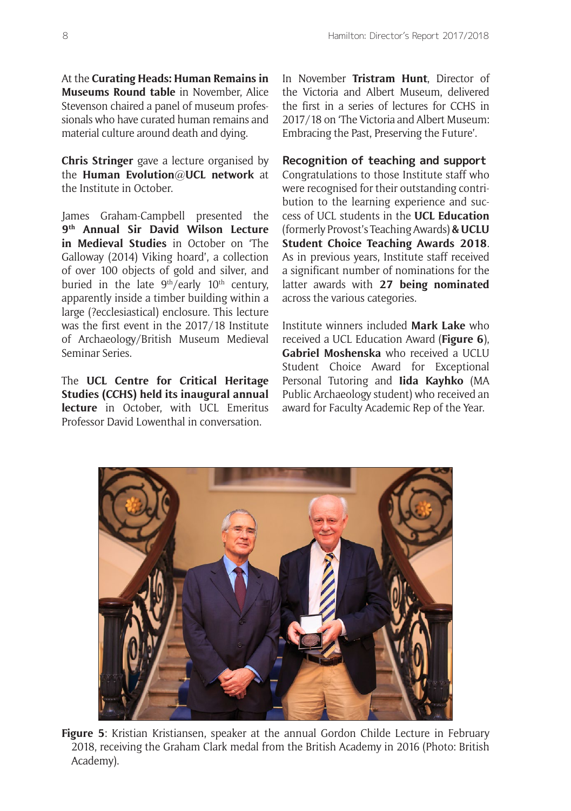At the **Curating Heads: Human Remains in Museums Round table** in November, Alice Stevenson chaired a panel of museum professionals who have curated human remains and material culture around death and dying.

**Chris Stringer** gave a lecture organised by the **[Human Evolution@UCL network](https://www.ucl.ac.uk/human-evolution)** at the Institute in October.

James Graham-Campbell presented the **9th Annual Sir David Wilson Lecture in Medieval Studies** in October on 'The Galloway (2014) Viking hoard', a collection of over 100 objects of gold and silver, and buried in the late  $9<sup>th</sup>/early$  10<sup>th</sup> century, apparently inside a timber building within a large (?ecclesiastical) enclosure. This lecture was the first event in the 2017/18 Institute of Archaeology/British Museum Medieval Seminar Series.

The **UCL Centre for Critical Heritage Studies (CCHS) held its inaugural annual lecture** in October, with UCL Emeritus Professor David Lowenthal in conversation.

In November **Tristram Hunt**, Director of the Victoria and Albert Museum, delivered the first in a series of lectures for CCHS in 2017/18 on 'The Victoria and Albert Museum: Embracing the Past, Preserving the Future'.

**Recognition of teaching and support** Congratulations to those Institute staff who were recognised for their outstanding contribution to the learning experience and success of UCL students in the **UCL Education**  (formerly Provost's Teaching Awards) & UCLU **Student Choice Teaching Awards 2018**. As in previous years, Institute staff received a significant number of nominations for the latter awards with **27 being nominated** across the various categories.

Institute winners included **Mark Lake** who received a UCL Education Award (**Figure 6**), **Gabriel Moshenska** who received a UCLU Student Choice Award for Exceptional Personal Tutoring and **Iida Kayhko** (MA Public Archaeology student) who received an award for Faculty Academic Rep of the Year.



**Figure 5**: Kristian Kristiansen, speaker at the annual Gordon Childe Lecture in February 2018, receiving the Graham Clark medal from the British Academy in 2016 (Photo: British Academy).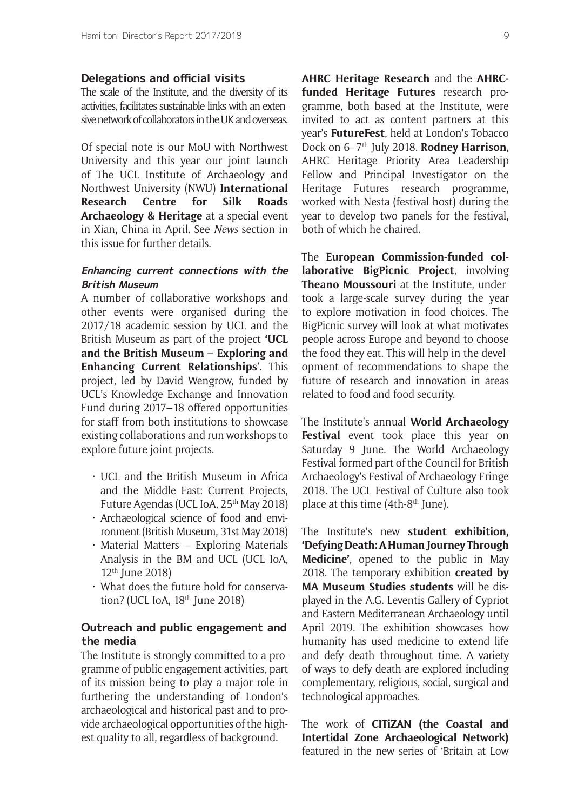#### **Delegations and official visits**

The scale of the Institute, and the diversity of its activities, facilitates sustainable links with an extensive network of collaborators in the UK and overseas.

Of special note is our MoU with Northwest University and this year our joint launch of The UCL Institute of Archaeology and Northwest University (NWU) **International Research Centre for Silk Roads Archaeology & Heritage** at a special event in Xian, China in April. See *News* section in this issue for further details.

#### **Enhancing current connections with the British Museum**

A number of collaborative workshops and other events were organised during the 2017/18 academic session by UCL and the British Museum as part of the project **'UCL and the British Museum – Exploring and Enhancing Current Relationships**'. This project, led by David Wengrow, funded by UCL's Knowledge Exchange and Innovation Fund during 2017–18 offered opportunities for staff from both institutions to showcase existing collaborations and run workshops to explore future joint projects.

- UCL and the British Museum in Africa and the Middle East: Current Projects, Future Agendas (UCL IoA, 25<sup>th</sup> May 2018)
- Archaeological science of food and environment (British Museum, 31st May 2018)
- Material Matters Exploring Materials Analysis in the BM and UCL (UCL IoA,  $12<sup>th</sup>$  June 2018)
- What does the future hold for conservation? (UCL IoA, 18<sup>th</sup> June 2018)

### **Outreach and public engagement and the media**

The Institute is strongly committed to a programme of public engagement activities, part of its mission being to play a major role in furthering the understanding of London's archaeological and historical past and to provide archaeological opportunities of the highest quality to all, regardless of background.

**AHRC Heritage Research** and the **AHRCfunded Heritage Futures** research programme, both based at the Institute, were invited to act as content partners at this year's **FutureFest**, held at London's Tobacco Dock on 6–7th July 2018. **Rodney Harrison**, AHRC Heritage Priority Area Leadership Fellow and Principal Investigator on the Heritage Futures research programme, worked with Nesta (festival host) during the year to develop two panels for the festival, both of which he chaired.

The **European Commission-funded collaborative BigPicnic Project**, involving **Theano Moussouri** at the Institute, undertook a large-scale survey during the year to explore motivation in food choices. The BigPicnic survey will look at what motivates people across Europe and beyond to choose the food they eat. This will help in the development of recommendations to shape the future of research and innovation in areas related to food and food security.

The Institute's annual **World Archaeology Festival** event took place this year on Saturday 9 June. The World Archaeology Festival formed part of the Council for British Archaeology's Festival of Archaeology Fringe 2018. The UCL Festival of Culture also took place at this time (4th-8<sup>th</sup> June).

The Institute's new **student exhibition, 'Defying Death: A Human Journey Through Medicine'**, opened to the public in May 2018. The temporary exhibition **created by MA Museum Studies students** will be displayed in the A.G. Leventis Gallery of Cypriot and Eastern Mediterranean Archaeology until April 2019. The exhibition showcases how humanity has used medicine to extend life and defy death throughout time. A variety of ways to defy death are explored including complementary, religious, social, surgical and technological approaches.

The work of **CITiZAN (the Coastal and Intertidal Zone Archaeological Network)** featured in the new series of 'Britain at Low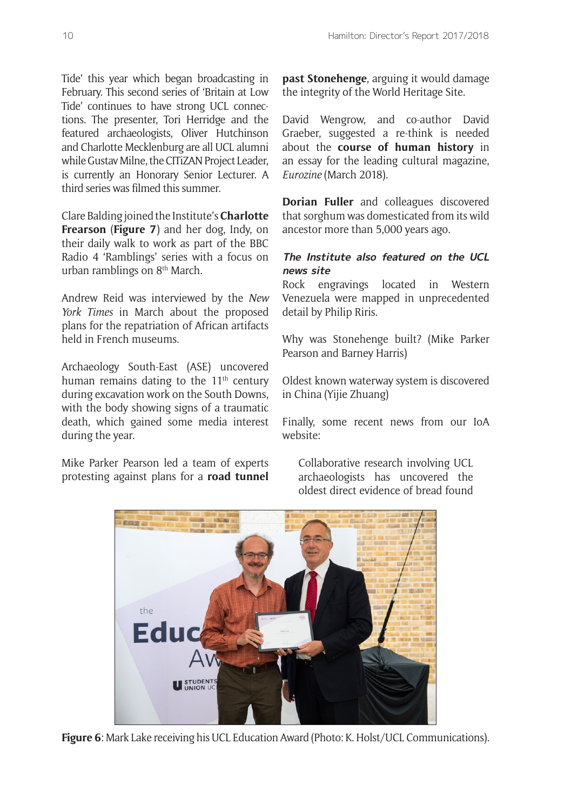Tide' this year which began broadcasting in February. This second series of 'Britain at Low Tide' continues to have strong UCL connections. The presenter, Tori Herridge and the featured archaeologists, Oliver Hutchinson and Charlotte Mecklenburg are all UCL alumni while Gustav Milne, the CITiZAN Project Leader, is currently an Honorary Senior Lecturer. A third series was filmed this summer.

Clare Balding joined the Institute's **Charlotte Frearson** (**Figure 7**) and her dog, Indy, on their daily walk to work as part of the BBC Radio 4 'Ramblings' series with a focus on urban ramblings on 8<sup>th</sup> March.

Andrew Reid was interviewed by the *New York Times* in March about the proposed plans for the repatriation of African artifacts held in French museums.

Archaeology South-East (ASE) uncovered human remains dating to the  $11<sup>th</sup>$  century during excavation work on the South Downs, with the body showing signs of a traumatic death, which gained some media interest during the year.

Mike Parker Pearson led a team of experts protesting against plans for a **road tunnel**  **past Stonehenge**, arguing it would damage the integrity of the World Heritage Site.

David Wengrow, and co-author David Graeber, suggested a re-think is needed about the **course of human history** in an essay for the leading cultural magazine, *Eurozine* (March 2018).

**Dorian Fuller** and colleagues discovered that sorghum was domesticated from its wild ancestor more than 5,000 years ago.

### **The Institute also featured on the UCL news site**

Rock engravings located in Western Venezuela were mapped in unprecedented detail by Philip Riris.

Why was Stonehenge built? (Mike Parker Pearson and Barney Harris)

Oldest known waterway system is discovered in China (Yijie Zhuang)

Finally, some recent news from our IoA website:

Collaborative research involving UCL archaeologists has uncovered the oldest direct evidence of bread found



**Figure 6**: Mark Lake receiving his UCL Education Award (Photo: K. Holst/UCL Communications).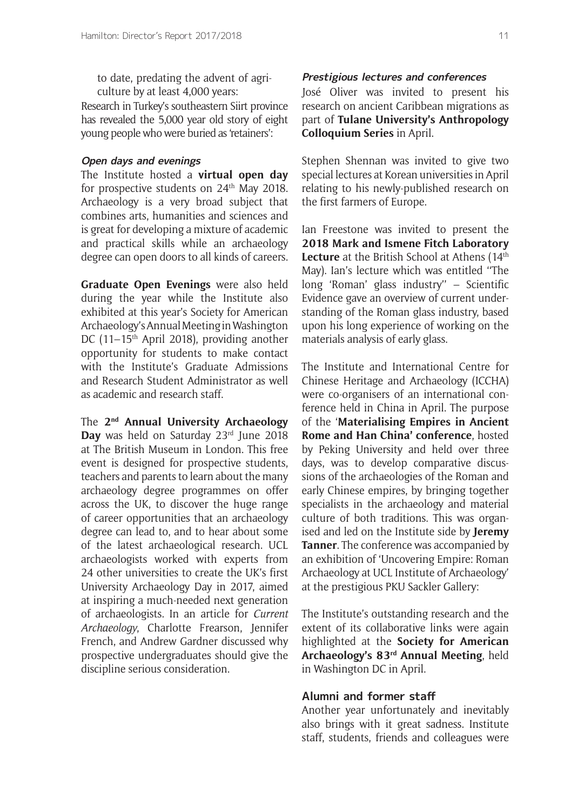to date, predating the advent of agriculture by at least 4,000 years:

Research in Turkey's southeastern Siirt province has revealed the 5,000 year old story of eight young people who were buried as 'retainers':

#### **Open days and evenings**

The Institute hosted a **virtual open day** for prospective students on  $24<sup>th</sup>$  May 2018. Archaeology is a very broad subject that combines arts, humanities and sciences and is great for developing a mixture of academic and practical skills while an archaeology degree can open doors to all kinds of careers.

**Graduate Open Evenings** were also held during the year while the Institute also exhibited at this year's Society for American Archaeology's Annual Meeting in Washington DC (11–15<sup>th</sup> April 2018), providing another opportunity for students to make contact with the Institute's Graduate Admissions and Research Student Administrator as well as academic and research staff.

The **2nd Annual University Archaeology**  Day was held on Saturday 23<sup>rd</sup> June 2018 at The British Museum in London. This free event is designed for prospective students, teachers and parents to learn about the many archaeology degree programmes on offer across the UK, to discover the huge range of career opportunities that an archaeology degree can lead to, and to hear about some of the latest archaeological research. UCL archaeologists worked with experts from 24 other universities to create the UK's first University Archaeology Day in 2017, aimed at inspiring a much-needed next generation of archaeologists. In an article for *Current Archaeology*, Charlotte Frearson, Jennifer French, and Andrew Gardner discussed why prospective undergraduates should give the discipline serious consideration.

#### **Prestigious lectures and conferences**

José Oliver was invited to present his research on ancient Caribbean migrations as part of **Tulane University's Anthropology Colloquium Series** in April.

Stephen Shennan was invited to give two special lectures at Korean universities in April relating to his newly-published research on the first farmers of Europe.

Ian Freestone was invited to present the **2018 Mark and Ismene Fitch Laboratory**  Lecture at the British School at Athens (14<sup>th</sup> May). Ian's lecture which was entitled ''The long 'Roman' glass industry'' – Scientific Evidence gave an overview of current understanding of the Roman glass industry, based upon his long experience of working on the materials analysis of early glass.

The Institute and International Centre for Chinese Heritage and Archaeology (ICCHA) were co-organisers of an international conference held in China in April. The purpose of the '**Materialising Empires in Ancient Rome and Han China' conference**, hosted by Peking University and held over three days, was to develop comparative discussions of the archaeologies of the Roman and early Chinese empires, by bringing together specialists in the archaeology and material culture of both traditions. This was organised and led on the Institute side by **Jeremy Tanner**. The conference was accompanied by an exhibition of 'Uncovering Empire: Roman Archaeology at UCL Institute of Archaeology' at the prestigious PKU Sackler Gallery:

The Institute's outstanding research and the extent of its collaborative links were again highlighted at the **Society for American Archaeology's 83rd Annual Meeting**, held in Washington DC in April.

#### **Alumni and former staff**

Another year unfortunately and inevitably also brings with it great sadness. Institute staff, students, friends and colleagues were